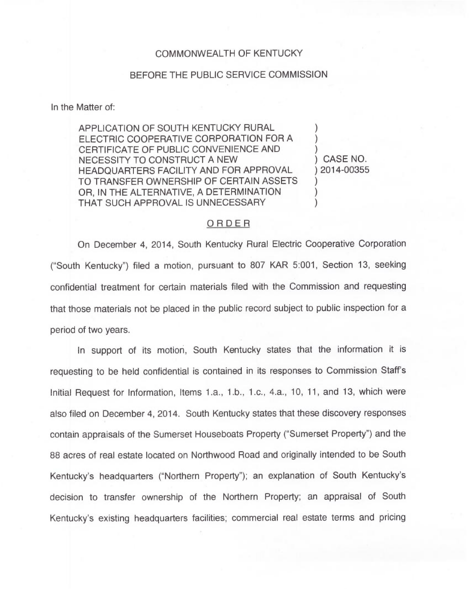## COMMONWEALTH OF KENTUCKY

## BEFORE THE PUBLIC SERVICE COMMISSION

In the Matter of:

APPLICATION OF SOUTH KENTUCKY RURAL ELECTRIC COOPERATIVE CORPORATION FOR A CERTIFICATE OF PUBLIC CONVENIENCE AND NECESSITY TO CONSTRUCT A NEW HEADQUARTERS FACILITY AND FOR APPROVAL TO TRANSFER OWNERSHIP OF CERTAIN ASSETS OR, IN THE ALTERNATIVE, A DETERMINATION THAT SUCH APPROVAL IS UNNECESSARY

) CASE NO. ) 2014-00355

) ) )

) ) )

## ORDER

On December 4, 2014, South Kentucky Rural Electric Cooperative Corporation ("South Kentucky") filed a motion, pursuant to 807 KAR 5:001, Section 13, seeking confidential treatment for certain materials filed with the Commission and requesting that those materials not be placed in the public record subject to public inspection for a period of two years.

In support of its motion, South Kentucky states that the information it is requesting to be held confidential is contained in its responses to Commission Staff's Initial Request for Information, Items 1.a., 1.b., 1.c.,4.a., 10, 11, and 13, which were also filed on December 4, 2014. South Kentucky states that these discovery responses contain appraisals of the Sumerset Houseboats Property ("Sumerset Property") and the 88 acres of real estate located on Northwood Road and originally intended to be South Kentucky's headquarters ("Northern Property"); an explanation of South Kentucky's decision to transfer ownership of the Northern Property; an appraisal of South Kentucky's existing headquarters facilities; commercial real estate terms and pricing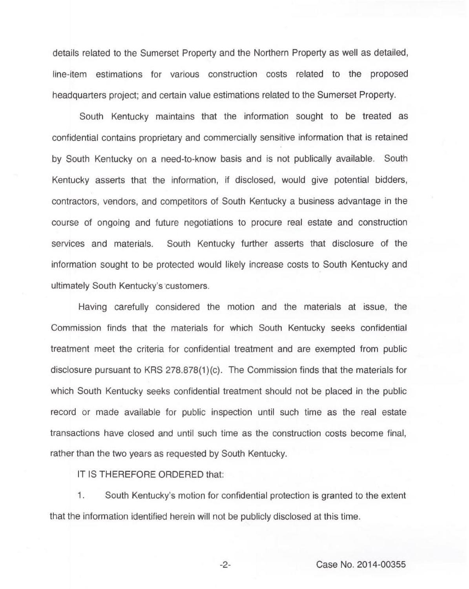details related to the Sumerset Property and the Northern Property as well as detailed, line-item estimations for various construction costs related to the proposed headquarters project; and certain value estimations related to the Sumerset Property.

South Kentucky maintains that the information sought to be treated as confidential contains proprietary and commercially sensitive information that is retained by South Kentucky on a need-to-know basis and is not publically available. South Kentucky asserts that the information, if disclosed, would give potential bidders, contractors, vendors, and competitors of South Kentucky a business advantage in the course of ongoing and future negotiations to procure real estate and construction services and materials. South Kentucky further asserts that disclosure of the information sought to be protected would likely increase costs to South Kentucky and ultimately South Kentucky's'customers.

Having carefully considered the motion and the materials at issue, the Commission finds that the materials for which South Kentucky seeks confidential treatment meet the criteria for confidential treatment and are exempted from public disclosure pursuant to KRS 278.878(1)(c). The Commission finds that the materials for which South Kentucky seeks confidential treatment should not be placed in the public record or made available for public inspection until such time as the real estate transactions have closed and until such time as the construction costs become final, rather than the two years as requested by South Kentucky.

IT IS THEREFORE ORDERED that:

1. South Kentucky's motion for confidential protection is granted to the extent that the information identified herein will not be publicly disclosed at this time.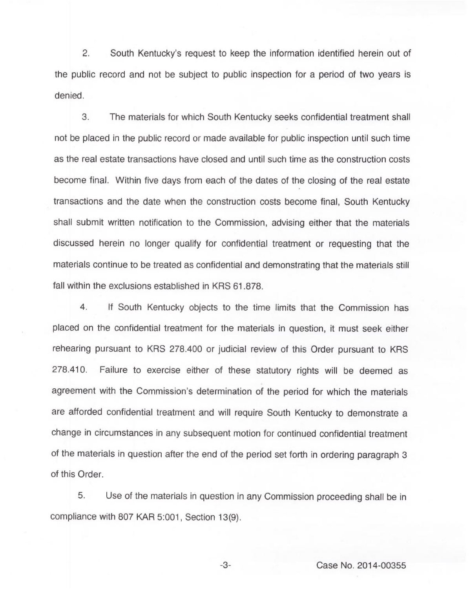2. South Kentucky's request to keep the information identified herein out of the public record and not be subject to public inspection for a period of two years is denied.

3. The materials for which South Kentucky seeks confidential treatment shall not be placed in the public record or made available for public inspection until such time as the real estate transactions have closed and until such time as the construction costs become final. Within five days from each of the dates of the closing of the real estate transactions and the date when the construction costs become final, South Kentucky shall submit written notification to the Commission, advising either that the materials discussed herein no longer qualify for confidential treatment or requesting that the materials continue to be treated as confidential and demonstrating that the materials still fall within the exclusions established in KRS 61.878.

4. If South Kentucky objects to the time limits that the Commission has placed on the confidential treatment for the materials in question, it must seek either rehearing pursuant to KRS 278.400 or judicial review of this Order pursuant to KRS 278.410. Failure to exercise either of these statutory rights will be deemed as agreement with the Commission's determination of the period for which the materials are afforded confidential treatment and will require South Kentucky to demonstrate a change in circumstances in any subsequent motion for continued confidential treatment of the materials in question after the end of the period set forth in ordering paragraph 3 of this Order.

5. Use of the materials in question in any Commission proceeding shall be in compliance with 807 KAR 5:001, Section 13(9).

-3- Case No. 2014-00355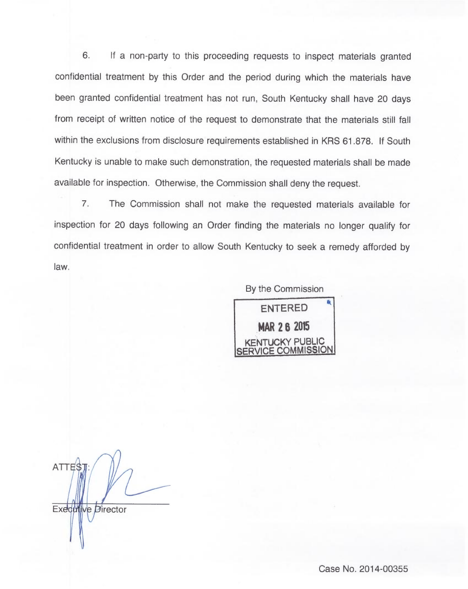6. lf a non-party to this proceeding requests to inspect materials granted confidential treatment by this Order and the period during which the materials have been granted confidential treatment has not run, South Kentucky shall have 20 days from receipt of written notice of the request to demonstrate that the materials still fall within the exclusions from disclosure requirements established in KRS 61.878. If South Kentucky is unable to make such demonstration, the requested materials shall be made available for inspection. Otherwise, the Commission shall deny the request.

7. The Commission shall not make the requested materials available for inspection for 20 days following an Order finding the materials no longer qualify for confidential treatment in order to allow South Kentucky to seek a remedy afforded by law.

> By the Commission ENTERED MAR 2 6 2015 KENTUCKY PUBLIC CE COMMISSION

ATTES Executive Director